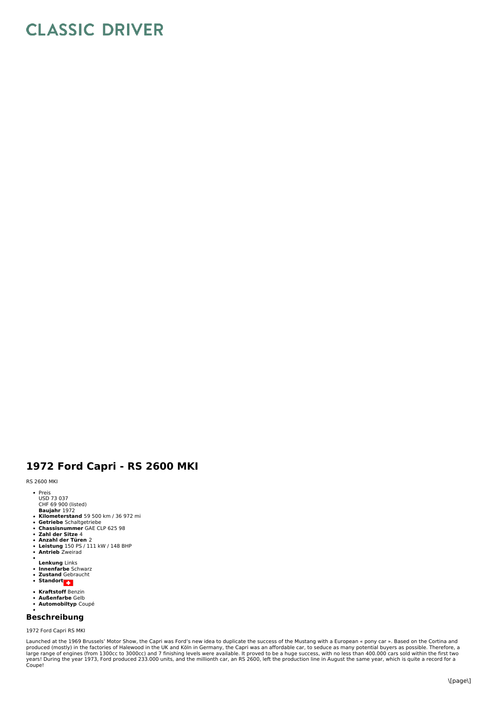## **CLASSIC DRIVER**

## **1972 Ford Capri - RS 2600 MKI**

## RS 2600 MKI

- Preis
- USD 73 037
- CHF 69 900 (listed)
- **Baujahr** 1972<br>**Kilometerstand** 59 500 km / 36 972 mi
- **Getriebe** Schaltgetriebe<br>**Chassisnummer** GAE CLP 625 98
- 
- **Zahl der Sitze** 4 **Anzahl der Türen** 2
- $\ddot{\phantom{0}}$ **Leistung** 150 PS / 111 kW / 148 BHP **Antrieb** Zweirad
- 
- **Lenkung** Links **Innenfarbe** Schwarz
- $\ddot{\bullet}$
- **Zustand** Gebraucht **Standort**
- 
- **Kraftstoff** Benzin
- $\bullet$ **Außenfarbe** Gelb **Automobiltyp** Coupé  $\bullet$
- 

## **Beschreibung**

1972 Ford Capri RS MKI

Launched at the 1969 Brussels' Motor Show, the Capri was Ford's new idea to duplicate the success of the Mustang with a European « pony car ». Based on the Cortina and<br>produced (mostly) in the factories of Halewood in the